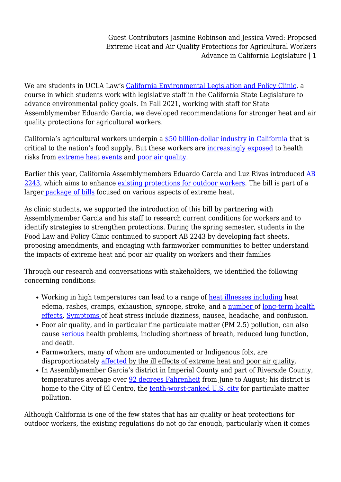Guest Contributors Jasmine Robinson and Jessica Vived: Proposed Extreme Heat and Air Quality Protections for Agricultural Workers Advance in California Legislature | 1

We are students in UCLA Law's [California Environmental Legislation and Policy Clinic,](https://curriculum.law.ucla.edu/Guide/Course/6526) a course in which students work with legislative staff in the California State Legislature to advance environmental policy goals. In Fall 2021, working with staff for State Assemblymember Eduardo Garcia, we developed recommendations for stronger heat and air quality protections for agricultural workers.

California's agricultural workers underpin a [\\$50 billion-dollar industry in California](https://www.cdfa.ca.gov/Statistics/PDFs/2020_Ag_Stats_Review.pdf) that is critical to the nation's food supply. But these workers are [increasingly exposed](http://assets.statesatrisk.org/summaries/California_report.pdf) to health risks from [extreme heat events](https://www.ccohs.ca/oshanswers/phys_agents/heat_health.html) and [poor air quality.](https://www.dir.ca.gov/dosh/wildfire/worker-protection-from-wildfire-smoke.html)

Earlier this year, California Assemblymembers Eduardo Garcia and Luz Rivas introduced [AB](https://leginfo.legislature.ca.gov/faces/billTextClient.xhtml?bill_id=202120220AB2243) [2243,](https://leginfo.legislature.ca.gov/faces/billTextClient.xhtml?bill_id=202120220AB2243) which aims to enhance [existing protections for outdoor workers.](https://www.dir.ca.gov/title8/3395.html) The bill is part of a large[r package of bills](https://docs.google.com/document/d/1ZvD16qZN-o-I2lLJHrGkALIpvLjVJvIpPwv9pbIF8DE/edit?usp=sharing) focused on various aspects of extreme heat.

As clinic students, we supported the introduction of this bill by partnering with Assemblymember Garcia and his staff to research current conditions for workers and to identify strategies to strengthen protections. During the spring semester, students in the Food Law and Policy Clinic continued to support AB 2243 by developing fact sheets, proposing amendments, and engaging with farmworker communities to better understand the impacts of extreme heat and poor air quality on workers and their families

Through our research and conversations with stakeholders, we identified the following concerning conditions:

- Working in high temperatures can lead to a range of [heat illnesses including](https://www.ccohs.ca/oshanswers/phys_agents/heat_health.html) heat edema, rashes, cramps, exhaustion, syncope, stroke, and a [number o](https://chips.ucdavis.edu/pilot-results)f [long-term health](https://pubmed.ncbi.nlm.nih.gov/28093502/) [effects](https://pubmed.ncbi.nlm.nih.gov/28093502/). [Symptoms o](https://www.ucdavis.edu/climate/news/protecting-californias-farmworkers-as-temperatures-climb)f heat stress include dizziness, nausea, headache, and confusion.
- Poor air quality, and in particular fine particulate matter (PM 2.5) pollution, can also cause [serious](https://www.epa.gov/pm-pollution/particulate-matter-pm-basics#effects) health problems, including shortness of breath, reduced lung function, and death.
- Farmworkers, many of whom are undocumented or Indigenous folx, are disproportionately [affected](https://calmatters.org/health/2019/01/what-keeps-families-in-one-of-the-most-polluted-places-in-california/) by the ill effects of extreme heat and poor air quality.
- In Assemblymember Garcia's district in Imperial County and part of Riverside County, temperatures average over [92 degrees Fahrenheit](https://www.ncdc.noaa.gov/cag/county/rankings/CA-025/tavg/201908#3) from June to August; his district is home to the City of El Centro, the [tenth-worst-ranked U.S. city](https://www.lung.org/research/sota/city-rankings/msas/el-centro-ca#pmann) for particulate matter pollution.

Although California is one of the few states that has air quality or heat protections for outdoor workers, the existing regulations do not go far enough, particularly when it comes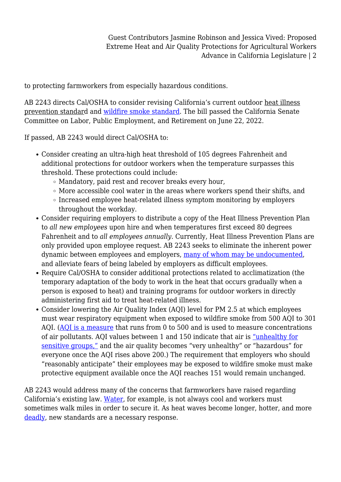Guest Contributors Jasmine Robinson and Jessica Vived: Proposed Extreme Heat and Air Quality Protections for Agricultural Workers Advance in California Legislature | 2

to protecting farmworkers from especially hazardous conditions.

AB 2243 directs Cal/OSHA to consider revising California's current outdoor heat illness prevention standard and [wildfire smoke standard.](https://www.dir.ca.gov/title8/5141_1.html) The bill passed the California Senate Committee on Labor, Public Employment, and Retirement on June 22, 2022.

If passed, AB 2243 would direct Cal/OSHA to:

- Consider creating an ultra-high heat threshold of 105 degrees Fahrenheit and additional protections for outdoor workers when the temperature surpasses this threshold. These protections could include:
	- Mandatory, paid rest and recover breaks every hour,
	- More accessible cool water in the areas where workers spend their shifts, and
	- Increased employee heat-related illness symptom monitoring by employers throughout the workday.
- Consider requiring employers to distribute a copy of the Heat Illness Prevention Plan to *all new employees* upon hire and when temperatures first exceed 80 degrees Fahrenheit and to *all employees annually*. Currently, Heat Illness Prevention Plans are only provided upon employee request. AB 2243 seeks to eliminate the inherent power dynamic between employees and employers, [many of whom may be undocumented,](https://www.nrdc.org/experts/marisa-guerrero/food-work-covid-farmworker-solutions-unjust-system) and alleviate fears of being labeled by employers as difficult employees.
- Require Cal/OSHA to consider additional protections related to acclimatization (the temporary adaptation of the body to work in the heat that occurs gradually when a person is exposed to heat) and training programs for outdoor workers in directly administering first aid to treat heat-related illness.
- Consider lowering the Air Quality Index (AQI) level for PM 2.5 at which employees must wear respiratory equipment when exposed to wildfire smoke from 500 AQI to 301 AQI. (AOI is a measure that runs from 0 to 500 and is used to measure concentrations of air pollutants. AQI values between 1 and 150 indicate that air is ["unhealthy for](https://www.epa.gov/pmcourse/patient-exposure-and-air-quality-index#:~:text=For%20example%2C%20when%20the%20AQI,to%20reduce%20prolonged%20or%20heavy) [sensitive groups,"](https://www.epa.gov/pmcourse/patient-exposure-and-air-quality-index#:~:text=For%20example%2C%20when%20the%20AQI,to%20reduce%20prolonged%20or%20heavy) and the air quality becomes "very unhealthy" or "hazardous" for everyone once the AQI rises above 200.) The requirement that employers who should "reasonably anticipate" their employees may be exposed to wildfire smoke must make protective equipment available once the AQI reaches 151 would remain unchanged.

AB 2243 would address many of the concerns that farmworkers have raised regarding California's existing law. [Water,](https://drive.google.com/file/d/1raOPY_gXDX09QEGqs3iiiUxvNTEUTSN6/view?usp=sharing) for example, is not always cool and workers must sometimes walk miles in order to secure it. As heat waves become longer, hotter, and more [deadly,](http://assets.statesatrisk.org/summaries/California_report.pdf) new standards are a necessary response.